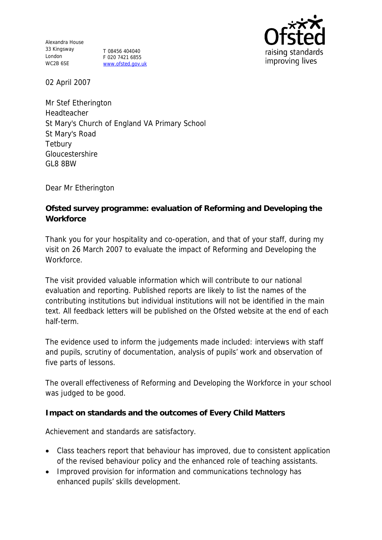Alexandra House 33 Kingsway London WC2B 6SE

T 08456 404040 F 020 7421 6855 www.ofsted.gov.uk



02 April 2007

Mr Stef Etherington Headteacher St Mary's Church of England VA Primary School St Mary's Road **Tetbury** Gloucestershire GL8 8BW

Dear Mr Etherington

**Ofsted survey programme: evaluation of Reforming and Developing the Workforce**

Thank you for your hospitality and co-operation, and that of your staff, during my visit on 26 March 2007 to evaluate the impact of Reforming and Developing the Workforce.

The visit provided valuable information which will contribute to our national evaluation and reporting. Published reports are likely to list the names of the contributing institutions but individual institutions will not be identified in the main text. All feedback letters will be published on the Ofsted website at the end of each half-term.

The evidence used to inform the judgements made included: interviews with staff and pupils, scrutiny of documentation, analysis of pupils' work and observation of five parts of lessons.

The overall effectiveness of Reforming and Developing the Workforce in your school was judged to be good.

**Impact on standards and the outcomes of Every Child Matters**

Achievement and standards are satisfactory.

- Class teachers report that behaviour has improved, due to consistent application of the revised behaviour policy and the enhanced role of teaching assistants.
- Improved provision for information and communications technology has enhanced pupils' skills development.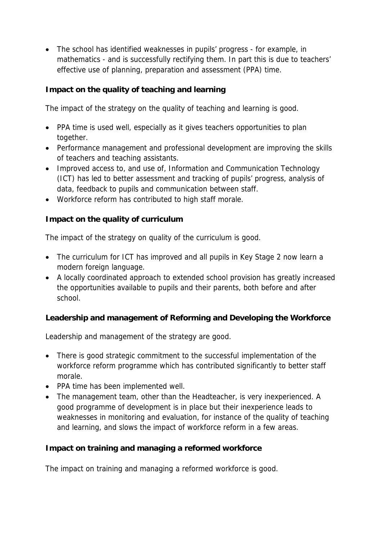• The school has identified weaknesses in pupils' progress - for example, in mathematics - and is successfully rectifying them. In part this is due to teachers' effective use of planning, preparation and assessment (PPA) time.

**Impact on the quality of teaching and learning** 

The impact of the strategy on the quality of teaching and learning is good.

- PPA time is used well, especially as it gives teachers opportunities to plan together.
- Performance management and professional development are improving the skills of teachers and teaching assistants.
- Improved access to, and use of, Information and Communication Technology (ICT) has led to better assessment and tracking of pupils' progress, analysis of data, feedback to pupils and communication between staff.
- Workforce reform has contributed to high staff morale.

**Impact on the quality of curriculum**

The impact of the strategy on quality of the curriculum is good.

- The curriculum for ICT has improved and all pupils in Key Stage 2 now learn a modern foreign language.
- A locally coordinated approach to extended school provision has greatly increased the opportunities available to pupils and their parents, both before and after school.

**Leadership and management of Reforming and Developing the Workforce**

Leadership and management of the strategy are good.

- There is good strategic commitment to the successful implementation of the workforce reform programme which has contributed significantly to better staff morale.
- PPA time has been implemented well.
- The management team, other than the Headteacher, is very inexperienced. A good programme of development is in place but their inexperience leads to weaknesses in monitoring and evaluation, for instance of the quality of teaching and learning, and slows the impact of workforce reform in a few areas.

**Impact on training and managing a reformed workforce**

The impact on training and managing a reformed workforce is good.